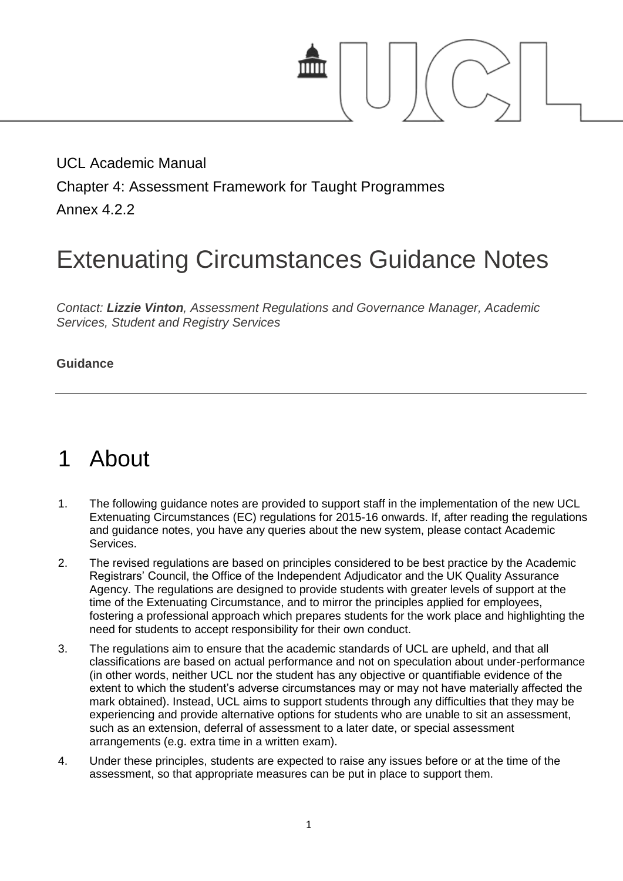

UCL Academic Manual Chapter 4: Assessment Framework for Taught Programmes Annex 4.2.2

# Extenuating Circumstances Guidance Notes

*Contact: Lizzie [Vinton](mailto:s.hinton@ucl.ac.uk), Assessment Regulations and Governance Manager, Academic Services, Student and Registry Services*

#### **Guidance**

## 1 About

- 1. The following guidance notes are provided to support staff in the implementation of the new UCL Extenuating Circumstances (EC) regulations for 2015-16 onwards. If, after reading the regulations and guidance notes, you have any queries about the new system, please contact Academic Services.
- 2. The revised regulations are based on principles considered to be best practice by the Academic Registrars' Council, the Office of the Independent Adjudicator and the UK Quality Assurance Agency. The regulations are designed to provide students with greater levels of support at the time of the Extenuating Circumstance, and to mirror the principles applied for employees, fostering a professional approach which prepares students for the work place and highlighting the need for students to accept responsibility for their own conduct.
- 3. The regulations aim to ensure that the academic standards of UCL are upheld, and that all classifications are based on actual performance and not on speculation about under-performance (in other words, neither UCL nor the student has any objective or quantifiable evidence of the extent to which the student's adverse circumstances may or may not have materially affected the mark obtained). Instead, UCL aims to support students through any difficulties that they may be experiencing and provide alternative options for students who are unable to sit an assessment, such as an extension, deferral of assessment to a later date, or special assessment arrangements (e.g. extra time in a written exam).
- 4. Under these principles, students are expected to raise any issues before or at the time of the assessment, so that appropriate measures can be put in place to support them.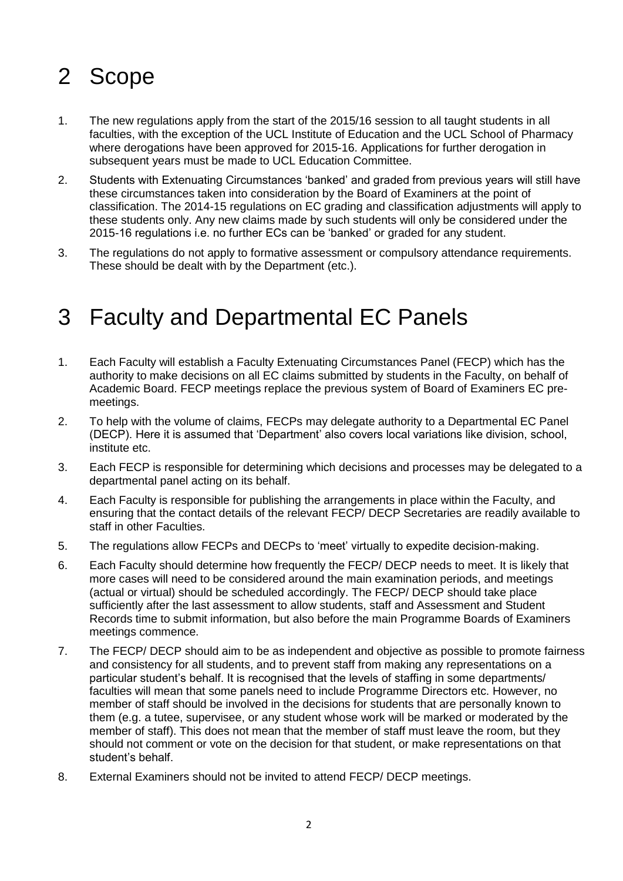## 2 Scope

- 1. The new regulations apply from the start of the 2015/16 session to all taught students in all faculties, with the exception of the UCL Institute of Education and the UCL School of Pharmacy where derogations have been approved for 2015-16. Applications for further derogation in subsequent years must be made to UCL Education Committee.
- 2. Students with Extenuating Circumstances 'banked' and graded from previous years will still have these circumstances taken into consideration by the Board of Examiners at the point of classification. The 2014-15 regulations on EC grading and classification adjustments will apply to these students only. Any new claims made by such students will only be considered under the 2015-16 regulations i.e. no further ECs can be 'banked' or graded for any student.
- 3. The regulations do not apply to formative assessment or compulsory attendance requirements. These should be dealt with by the Department (etc.).

#### 3 Faculty and Departmental EC Panels

- 1. Each Faculty will establish a Faculty Extenuating Circumstances Panel (FECP) which has the authority to make decisions on all EC claims submitted by students in the Faculty, on behalf of Academic Board. FECP meetings replace the previous system of Board of Examiners EC premeetings.
- 2. To help with the volume of claims, FECPs may delegate authority to a Departmental EC Panel (DECP). Here it is assumed that 'Department' also covers local variations like division, school, institute etc.
- 3. Each FECP is responsible for determining which decisions and processes may be delegated to a departmental panel acting on its behalf.
- 4. Each Faculty is responsible for publishing the arrangements in place within the Faculty, and ensuring that the contact details of the relevant FECP/ DECP Secretaries are readily available to staff in other Faculties.
- 5. The regulations allow FECPs and DECPs to 'meet' virtually to expedite decision-making.
- 6. Each Faculty should determine how frequently the FECP/ DECP needs to meet. It is likely that more cases will need to be considered around the main examination periods, and meetings (actual or virtual) should be scheduled accordingly. The FECP/ DECP should take place sufficiently after the last assessment to allow students, staff and Assessment and Student Records time to submit information, but also before the main Programme Boards of Examiners meetings commence.
- 7. The FECP/ DECP should aim to be as independent and objective as possible to promote fairness and consistency for all students, and to prevent staff from making any representations on a particular student's behalf. It is recognised that the levels of staffing in some departments/ faculties will mean that some panels need to include Programme Directors etc. However, no member of staff should be involved in the decisions for students that are personally known to them (e.g. a tutee, supervisee, or any student whose work will be marked or moderated by the member of staff). This does not mean that the member of staff must leave the room, but they should not comment or vote on the decision for that student, or make representations on that student's behalf.
- 8. External Examiners should not be invited to attend FECP/ DECP meetings.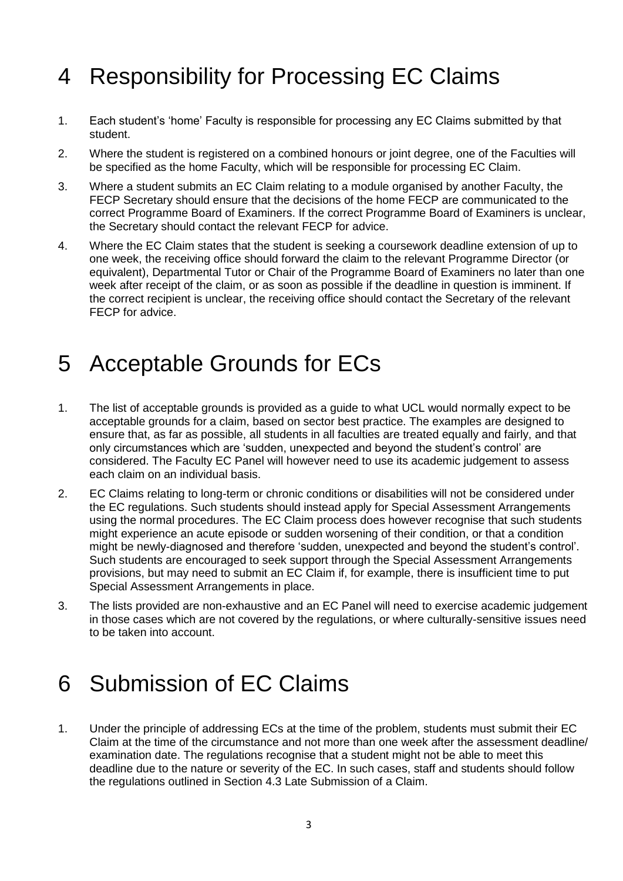## 4 Responsibility for Processing EC Claims

- 1. Each student's 'home' Faculty is responsible for processing any EC Claims submitted by that student.
- 2. Where the student is registered on a combined honours or joint degree, one of the Faculties will be specified as the home Faculty, which will be responsible for processing EC Claim.
- 3. Where a student submits an EC Claim relating to a module organised by another Faculty, the FECP Secretary should ensure that the decisions of the home FECP are communicated to the correct Programme Board of Examiners. If the correct Programme Board of Examiners is unclear, the Secretary should contact the relevant FECP for advice.
- 4. Where the EC Claim states that the student is seeking a coursework deadline extension of up to one week, the receiving office should forward the claim to the relevant Programme Director (or equivalent), Departmental Tutor or Chair of the Programme Board of Examiners no later than one week after receipt of the claim, or as soon as possible if the deadline in question is imminent. If the correct recipient is unclear, the receiving office should contact the Secretary of the relevant FECP for advice.

#### 5 Acceptable Grounds for ECs

- 1. The list of acceptable grounds is provided as a guide to what UCL would normally expect to be acceptable grounds for a claim, based on sector best practice. The examples are designed to ensure that, as far as possible, all students in all faculties are treated equally and fairly, and that only circumstances which are 'sudden, unexpected and beyond the student's control' are considered. The Faculty EC Panel will however need to use its academic judgement to assess each claim on an individual basis.
- 2. EC Claims relating to long-term or chronic conditions or disabilities will not be considered under the EC regulations. Such students should instead apply for Special Assessment Arrangements using the normal procedures. The EC Claim process does however recognise that such students might experience an acute episode or sudden worsening of their condition, or that a condition might be newly-diagnosed and therefore 'sudden, unexpected and beyond the student's control'. Such students are encouraged to seek support through the Special Assessment Arrangements provisions, but may need to submit an EC Claim if, for example, there is insufficient time to put Special Assessment Arrangements in place.
- 3. The lists provided are non-exhaustive and an EC Panel will need to exercise academic judgement in those cases which are not covered by the regulations, or where culturally-sensitive issues need to be taken into account.

## 6 Submission of EC Claims

1. Under the principle of addressing ECs at the time of the problem, students must submit their EC Claim at the time of the circumstance and not more than one week after the assessment deadline/ examination date. The regulations recognise that a student might not be able to meet this deadline due to the nature or severity of the EC. In such cases, staff and students should follow the regulations outlined in Section 4.3 Late Submission of a Claim.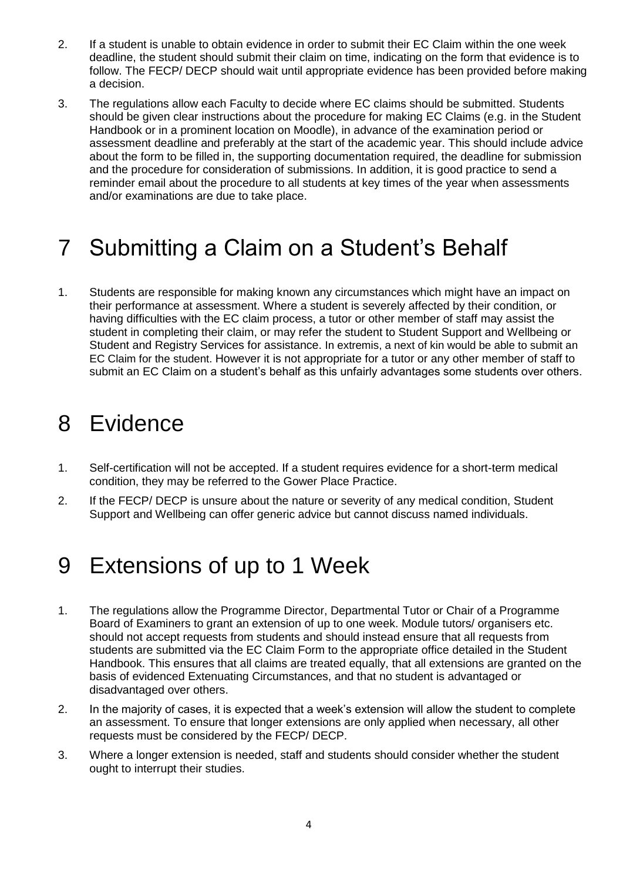- 2. If a student is unable to obtain evidence in order to submit their EC Claim within the one week deadline, the student should submit their claim on time, indicating on the form that evidence is to follow. The FECP/ DECP should wait until appropriate evidence has been provided before making a decision.
- 3. The regulations allow each Faculty to decide where EC claims should be submitted. Students should be given clear instructions about the procedure for making EC Claims (e.g. in the Student Handbook or in a prominent location on Moodle), in advance of the examination period or assessment deadline and preferably at the start of the academic year. This should include advice about the form to be filled in, the supporting documentation required, the deadline for submission and the procedure for consideration of submissions. In addition, it is good practice to send a reminder email about the procedure to all students at key times of the year when assessments and/or examinations are due to take place.

## 7 Submitting a Claim on a Student's Behalf

1. Students are responsible for making known any circumstances which might have an impact on their performance at assessment. Where a student is severely affected by their condition, or having difficulties with the EC claim process, a tutor or other member of staff may assist the student in completing their claim, or may refer the student to Student Support and Wellbeing or Student and Registry Services for assistance. In extremis, a next of kin would be able to submit an EC Claim for the student. However it is not appropriate for a tutor or any other member of staff to submit an EC Claim on a student's behalf as this unfairly advantages some students over others.

#### 8 Evidence

- 1. Self-certification will not be accepted. If a student requires evidence for a short-term medical condition, they may be referred to the Gower Place Practice.
- 2. If the FECP/ DECP is unsure about the nature or severity of any medical condition, Student Support and Wellbeing can offer generic advice but cannot discuss named individuals.

## 9 Extensions of up to 1 Week

- 1. The regulations allow the Programme Director, Departmental Tutor or Chair of a Programme Board of Examiners to grant an extension of up to one week. Module tutors/ organisers etc. should not accept requests from students and should instead ensure that all requests from students are submitted via the EC Claim Form to the appropriate office detailed in the Student Handbook. This ensures that all claims are treated equally, that all extensions are granted on the basis of evidenced Extenuating Circumstances, and that no student is advantaged or disadvantaged over others.
- 2. In the majority of cases, it is expected that a week's extension will allow the student to complete an assessment. To ensure that longer extensions are only applied when necessary, all other requests must be considered by the FECP/ DECP.
- 3. Where a longer extension is needed, staff and students should consider whether the student ought to interrupt their studies.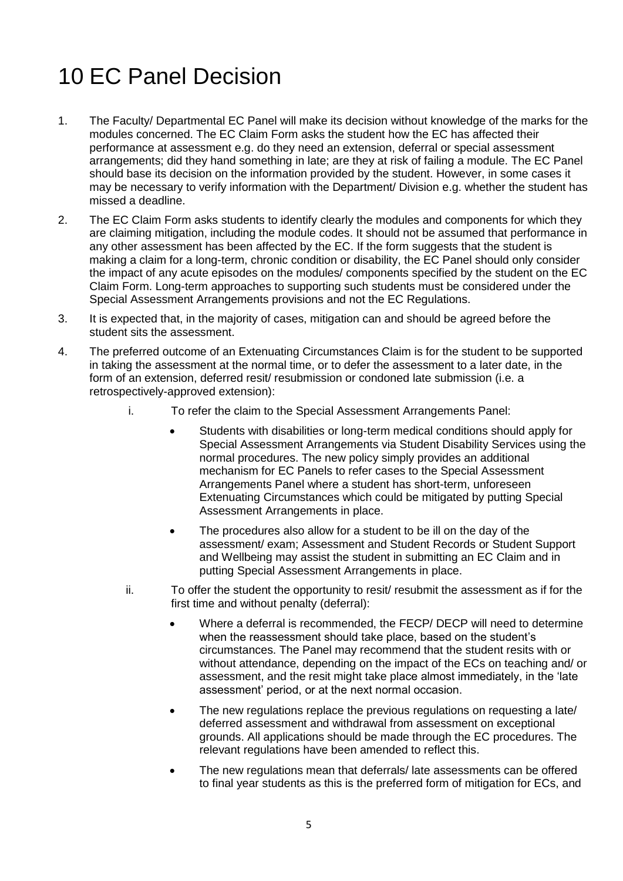# 10 EC Panel Decision

- 1. The Faculty/ Departmental EC Panel will make its decision without knowledge of the marks for the modules concerned. The EC Claim Form asks the student how the EC has affected their performance at assessment e.g. do they need an extension, deferral or special assessment arrangements; did they hand something in late; are they at risk of failing a module. The EC Panel should base its decision on the information provided by the student. However, in some cases it may be necessary to verify information with the Department/ Division e.g. whether the student has missed a deadline.
- 2. The EC Claim Form asks students to identify clearly the modules and components for which they are claiming mitigation, including the module codes. It should not be assumed that performance in any other assessment has been affected by the EC. If the form suggests that the student is making a claim for a long-term, chronic condition or disability, the EC Panel should only consider the impact of any acute episodes on the modules/ components specified by the student on the EC Claim Form. Long-term approaches to supporting such students must be considered under the Special Assessment Arrangements provisions and not the EC Regulations.
- 3. It is expected that, in the majority of cases, mitigation can and should be agreed before the student sits the assessment.
- 4. The preferred outcome of an Extenuating Circumstances Claim is for the student to be supported in taking the assessment at the normal time, or to defer the assessment to a later date, in the form of an extension, deferred resit/ resubmission or condoned late submission (i.e. a retrospectively-approved extension):
	- i. To refer the claim to the Special Assessment Arrangements Panel:
		- Students with disabilities or long-term medical conditions should apply for Special Assessment Arrangements via Student Disability Services using the normal procedures. The new policy simply provides an additional mechanism for EC Panels to refer cases to the Special Assessment Arrangements Panel where a student has short-term, unforeseen Extenuating Circumstances which could be mitigated by putting Special Assessment Arrangements in place.
		- The procedures also allow for a student to be ill on the day of the assessment/ exam; Assessment and Student Records or Student Support and Wellbeing may assist the student in submitting an EC Claim and in putting Special Assessment Arrangements in place.
	- ii. To offer the student the opportunity to resit/ resubmit the assessment as if for the first time and without penalty (deferral):
		- Where a deferral is recommended, the FECP/ DECP will need to determine when the reassessment should take place, based on the student's circumstances. The Panel may recommend that the student resits with or without attendance, depending on the impact of the ECs on teaching and/ or assessment, and the resit might take place almost immediately, in the 'late assessment' period, or at the next normal occasion.
		- The new regulations replace the previous regulations on requesting a late/ deferred assessment and withdrawal from assessment on exceptional grounds. All applications should be made through the EC procedures. The relevant regulations have been amended to reflect this.
		- The new regulations mean that deferrals/ late assessments can be offered to final year students as this is the preferred form of mitigation for ECs, and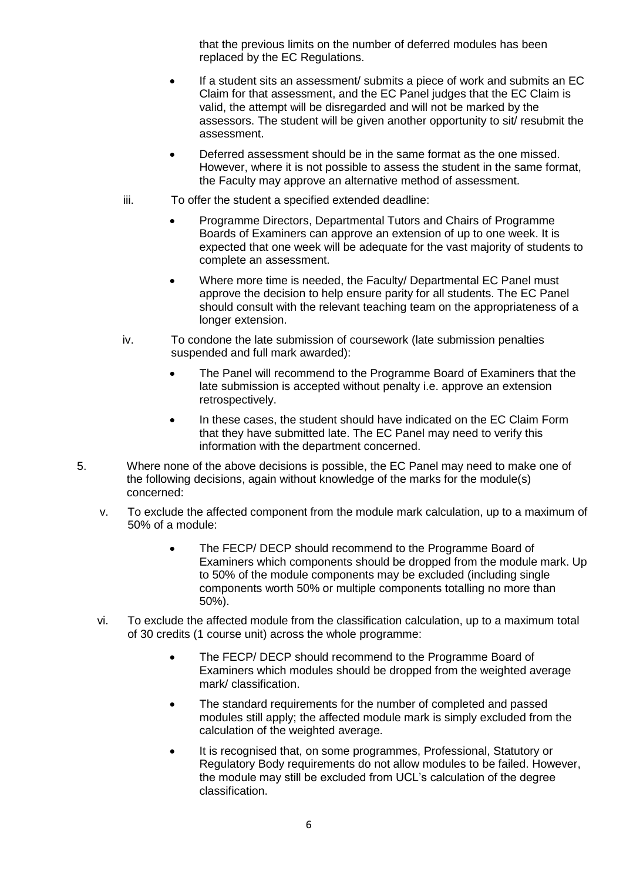that the previous limits on the number of deferred modules has been replaced by the EC Regulations.

- If a student sits an assessment/ submits a piece of work and submits an EC Claim for that assessment, and the EC Panel judges that the EC Claim is valid, the attempt will be disregarded and will not be marked by the assessors. The student will be given another opportunity to sit/ resubmit the assessment.
- Deferred assessment should be in the same format as the one missed. However, where it is not possible to assess the student in the same format, the Faculty may approve an alternative method of assessment.
- iii. To offer the student a specified extended deadline:
	- Programme Directors, Departmental Tutors and Chairs of Programme Boards of Examiners can approve an extension of up to one week. It is expected that one week will be adequate for the vast majority of students to complete an assessment.
	- Where more time is needed, the Faculty/ Departmental EC Panel must approve the decision to help ensure parity for all students. The EC Panel should consult with the relevant teaching team on the appropriateness of a longer extension.
- iv. To condone the late submission of coursework (late submission penalties suspended and full mark awarded):
	- The Panel will recommend to the Programme Board of Examiners that the late submission is accepted without penalty i.e. approve an extension retrospectively.
	- In these cases, the student should have indicated on the EC Claim Form that they have submitted late. The EC Panel may need to verify this information with the department concerned.
- 5. Where none of the above decisions is possible, the EC Panel may need to make one of the following decisions, again without knowledge of the marks for the module(s) concerned:
	- v. To exclude the affected component from the module mark calculation, up to a maximum of 50% of a module:
		- The FECP/ DECP should recommend to the Programme Board of Examiners which components should be dropped from the module mark. Up to 50% of the module components may be excluded (including single components worth 50% or multiple components totalling no more than 50%).
	- vi. To exclude the affected module from the classification calculation, up to a maximum total of 30 credits (1 course unit) across the whole programme:
		- The FECP/ DECP should recommend to the Programme Board of Examiners which modules should be dropped from the weighted average mark/ classification.
		- The standard requirements for the number of completed and passed modules still apply; the affected module mark is simply excluded from the calculation of the weighted average.
		- It is recognised that, on some programmes, Professional, Statutory or Regulatory Body requirements do not allow modules to be failed. However, the module may still be excluded from UCL's calculation of the degree classification.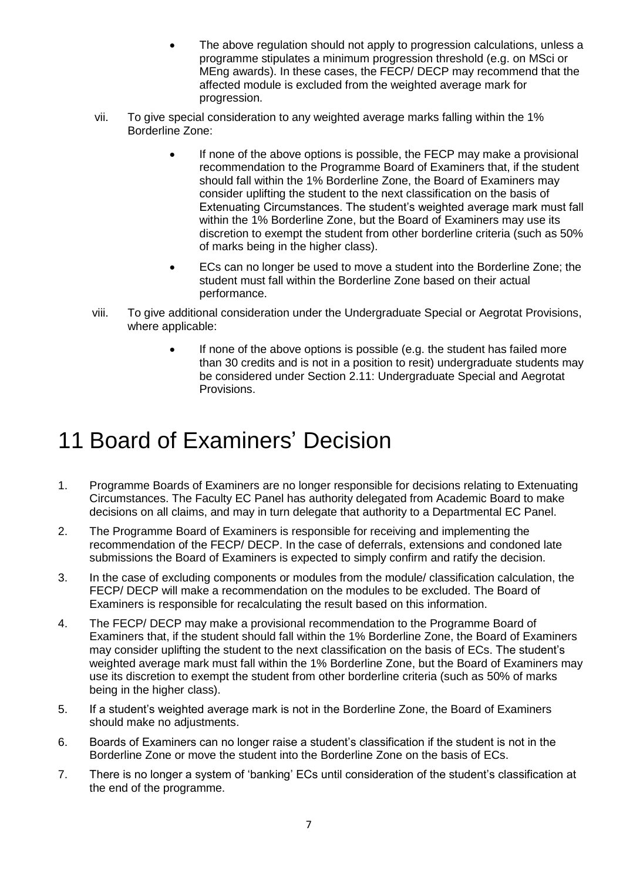- The above regulation should not apply to progression calculations, unless a programme stipulates a minimum progression threshold (e.g. on MSci or MEng awards). In these cases, the FECP/ DECP may recommend that the affected module is excluded from the weighted average mark for progression.
- vii. To give special consideration to any weighted average marks falling within the 1% Borderline Zone:
	- If none of the above options is possible, the FECP may make a provisional recommendation to the Programme Board of Examiners that, if the student should fall within the 1% Borderline Zone, the Board of Examiners may consider uplifting the student to the next classification on the basis of Extenuating Circumstances. The student's weighted average mark must fall within the 1% Borderline Zone, but the Board of Examiners may use its discretion to exempt the student from other borderline criteria (such as 50% of marks being in the higher class).
	- ECs can no longer be used to move a student into the Borderline Zone; the student must fall within the Borderline Zone based on their actual performance.
- viii. To give additional consideration under the Undergraduate Special or Aegrotat Provisions, where applicable:
	- If none of the above options is possible (e.g. the student has failed more than 30 credits and is not in a position to resit) undergraduate students may be considered under Section 2.11: Undergraduate Special and Aegrotat Provisions.

## 11 Board of Examiners' Decision

- 1. Programme Boards of Examiners are no longer responsible for decisions relating to Extenuating Circumstances. The Faculty EC Panel has authority delegated from Academic Board to make decisions on all claims, and may in turn delegate that authority to a Departmental EC Panel.
- 2. The Programme Board of Examiners is responsible for receiving and implementing the recommendation of the FECP/ DECP. In the case of deferrals, extensions and condoned late submissions the Board of Examiners is expected to simply confirm and ratify the decision.
- 3. In the case of excluding components or modules from the module/ classification calculation, the FECP/ DECP will make a recommendation on the modules to be excluded. The Board of Examiners is responsible for recalculating the result based on this information.
- 4. The FECP/ DECP may make a provisional recommendation to the Programme Board of Examiners that, if the student should fall within the 1% Borderline Zone, the Board of Examiners may consider uplifting the student to the next classification on the basis of ECs. The student's weighted average mark must fall within the 1% Borderline Zone, but the Board of Examiners may use its discretion to exempt the student from other borderline criteria (such as 50% of marks being in the higher class).
- 5. If a student's weighted average mark is not in the Borderline Zone, the Board of Examiners should make no adjustments.
- 6. Boards of Examiners can no longer raise a student's classification if the student is not in the Borderline Zone or move the student into the Borderline Zone on the basis of ECs.
- 7. There is no longer a system of 'banking' ECs until consideration of the student's classification at the end of the programme.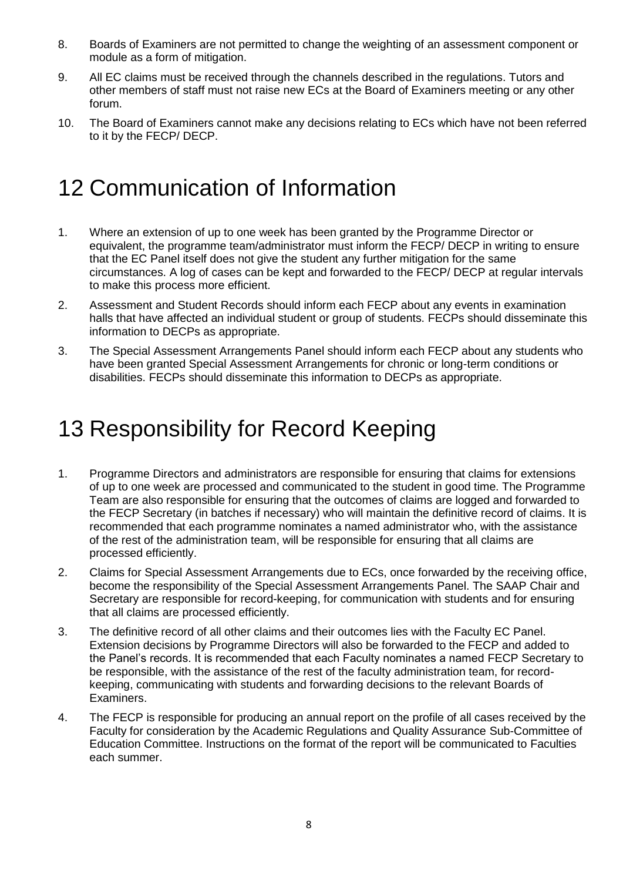- 8. Boards of Examiners are not permitted to change the weighting of an assessment component or module as a form of mitigation.
- 9. All EC claims must be received through the channels described in the regulations. Tutors and other members of staff must not raise new ECs at the Board of Examiners meeting or any other forum.
- 10. The Board of Examiners cannot make any decisions relating to ECs which have not been referred to it by the FECP/ DECP.

## 12 Communication of Information

- 1. Where an extension of up to one week has been granted by the Programme Director or equivalent, the programme team/administrator must inform the FECP/ DECP in writing to ensure that the EC Panel itself does not give the student any further mitigation for the same circumstances. A log of cases can be kept and forwarded to the FECP/ DECP at regular intervals to make this process more efficient.
- 2. Assessment and Student Records should inform each FECP about any events in examination halls that have affected an individual student or group of students. FECPs should disseminate this information to DECPs as appropriate.
- 3. The Special Assessment Arrangements Panel should inform each FECP about any students who have been granted Special Assessment Arrangements for chronic or long-term conditions or disabilities. FECPs should disseminate this information to DECPs as appropriate.

## 13 Responsibility for Record Keeping

- 1. Programme Directors and administrators are responsible for ensuring that claims for extensions of up to one week are processed and communicated to the student in good time. The Programme Team are also responsible for ensuring that the outcomes of claims are logged and forwarded to the FECP Secretary (in batches if necessary) who will maintain the definitive record of claims. It is recommended that each programme nominates a named administrator who, with the assistance of the rest of the administration team, will be responsible for ensuring that all claims are processed efficiently.
- 2. Claims for Special Assessment Arrangements due to ECs, once forwarded by the receiving office, become the responsibility of the Special Assessment Arrangements Panel. The SAAP Chair and Secretary are responsible for record-keeping, for communication with students and for ensuring that all claims are processed efficiently.
- 3. The definitive record of all other claims and their outcomes lies with the Faculty EC Panel. Extension decisions by Programme Directors will also be forwarded to the FECP and added to the Panel's records. It is recommended that each Faculty nominates a named FECP Secretary to be responsible, with the assistance of the rest of the faculty administration team, for recordkeeping, communicating with students and forwarding decisions to the relevant Boards of Examiners.
- 4. The FECP is responsible for producing an annual report on the profile of all cases received by the Faculty for consideration by the Academic Regulations and Quality Assurance Sub-Committee of Education Committee. Instructions on the format of the report will be communicated to Faculties each summer.